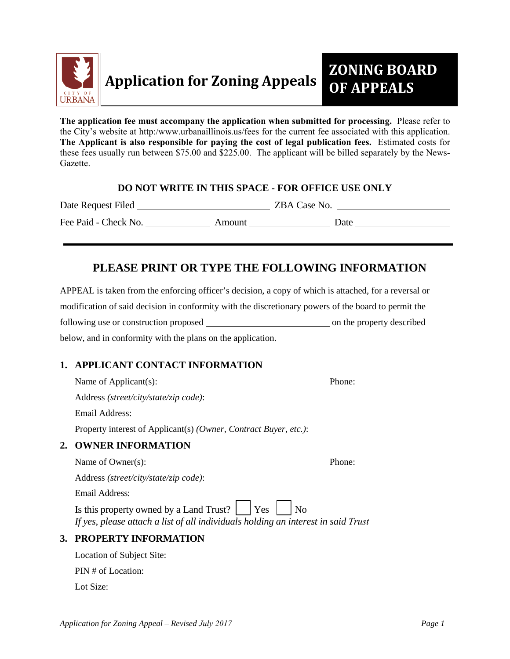

**The application fee must accompany the application when submitted for processing.** Please refer to the City's website at http:/www.urbanaillinois.us/fees for the current fee associated with this application. **The Applicant is also responsible for paying the cost of legal publication fees.** Estimated costs for these fees usually run between \$75.00 and \$225.00. The applicant will be billed separately by the News-Gazette.

#### **DO NOT WRITE IN THIS SPACE - FOR OFFICE USE ONLY**

Date Request Filed ZBA Case No.

Fee Paid - Check No. Amount Date

# **PLEASE PRINT OR TYPE THE FOLLOWING INFORMATION**

APPEAL is taken from the enforcing officer's decision, a copy of which is attached, for a reversal or modification of said decision in conformity with the discretionary powers of the board to permit the following use or construction proposed on the property described below, and in conformity with the plans on the application.

# **1. APPLICANT CONTACT INFORMATION**

Name of Applicant(s): Phone: Address *(street/city/state/zip code)*: Email Address: Property interest of Applicant(s) *(Owner, Contract Buyer, etc.)*:

# **2. OWNER INFORMATION**

Name of Owner(s): Phone: Address *(street/city/state/zip code)*: Email Address: Is this property owned by a Land Trust? Yes No *If yes, please attach a list of all individuals holding an interest in said Trust*

# **3. PROPERTY INFORMATION**

Location of Subject Site:

PIN # of Location:

Lot Size: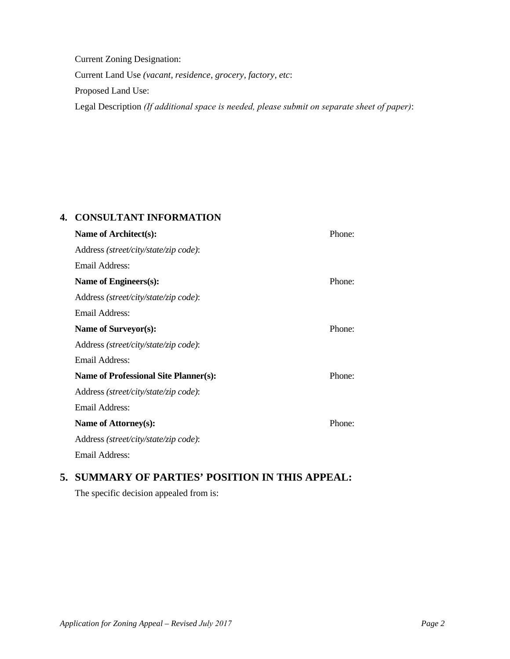Current Zoning Designation: Current Land Use *(vacant, residence, grocery, factory, etc*: Proposed Land Use: Legal Description *(If additional space is needed, please submit on separate sheet of paper)*:

#### **4. CONSULTANT INFORMATION**

| Name of Architect(s):                        | Phone: |
|----------------------------------------------|--------|
| Address (street/city/state/zip code):        |        |
| Email Address:                               |        |
| Name of Engineers(s):                        | Phone: |
| Address (street/city/state/zip code):        |        |
| Email Address:                               |        |
| Name of Surveyor(s):                         | Phone: |
| Address (street/city/state/zip code):        |        |
| Email Address:                               |        |
| <b>Name of Professional Site Planner(s):</b> | Phone: |
| Address (street/city/state/zip code):        |        |
| Email Address:                               |        |
| Name of Attorney(s):                         | Phone: |
| Address (street/city/state/zip code):        |        |
| Email Address:                               |        |
|                                              |        |

# **5. SUMMARY OF PARTIES' POSITION IN THIS APPEAL:**

The specific decision appealed from is: